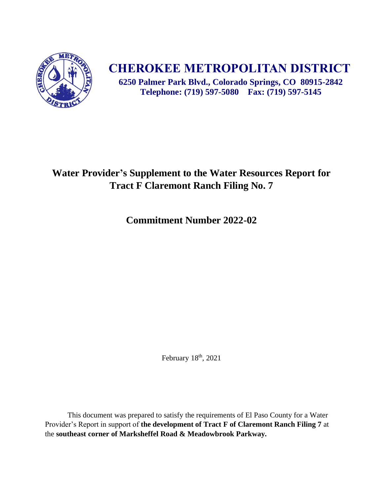

# **CHEROKEE METROPOLITAN DISTRICT**

**6250 Palmer Park Blvd., Colorado Springs, CO 80915-2842 Telephone: (719) 597-5080 Fax: (719) 597-5145**

## **Water Provider's Supplement to the Water Resources Report for Tract F Claremont Ranch Filing No. 7**

**Commitment Number 2022-02**

February 18<sup>th</sup>, 2021

This document was prepared to satisfy the requirements of El Paso County for a Water Provider's Report in support of **the development of Tract F of Claremont Ranch Filing 7** at the **southeast corner of Marksheffel Road & Meadowbrook Parkway.**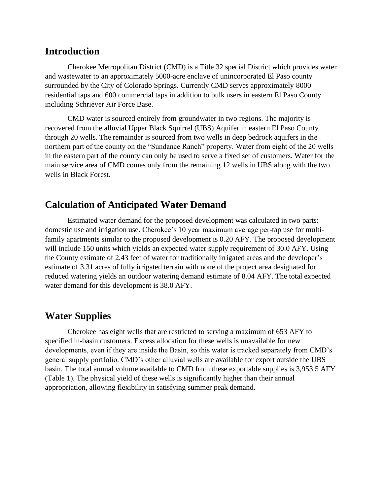#### **Introduction**

Cherokee Metropolitan District (CMD) is a Title 32 special District which provides water and wastewater to an approximately 5000-acre enclave of unincorporated El Paso county surrounded by the City of Colorado Springs. Currently CMD serves approximately 8000 residential taps and 600 commercial taps in addition to bulk users in eastern El Paso County including Schriever Air Force Base.

CMD water is sourced entirely from groundwater in two regions. The majority is recovered from the alluvial Upper Black Squirrel (UBS) Aquifer in eastern El Paso County through 20 wells. The remainder is sourced from two wells in deep bedrock aquifers in the northern part of the county on the "Sundance Ranch" property. Water from eight of the 20 wells in the eastern part of the county can only be used to serve a fixed set of customers. Water for the main service area of CMD comes only from the remaining 12 wells in UBS along with the two wells in Black Forest.

## **Calculation of Anticipated Water Demand**

Estimated water demand for the proposed development was calculated in two parts: domestic use and irrigation use. Cherokee's 10 year maximum average per-tap use for multifamily apartments similar to the proposed development is 0.20 AFY. The proposed development will include 150 units which yields an expected water supply requirement of 30.0 AFY. Using the County estimate of 2.43 feet of water for traditionally irrigated areas and the developer's estimate of 3.31 acres of fully irrigated terrain with none of the project area designated for reduced watering yields an outdoor watering demand estimate of 8.04 AFY. The total expected water demand for this development is 38.0 AFY.

### **Water Supplies**

Cherokee has eight wells that are restricted to serving a maximum of 653 AFY to specified in-basin customers. Excess allocation for these wells is unavailable for new developments, even if they are inside the Basin, so this water is tracked separately from CMD's general supply portfolio. CMD's other alluvial wells are available for export outside the UBS basin. The total annual volume available to CMD from these exportable supplies is 3,953.5 AFY (Table 1). The physical yield of these wells is significantly higher than their annual appropriation, allowing flexibility in satisfying summer peak demand.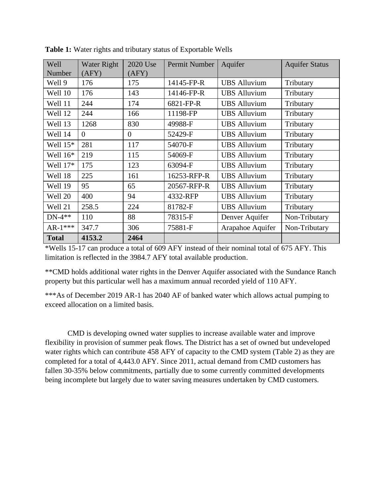| Well<br>Number | <b>Water Right</b><br>(AFY) | 2020 Use<br>(AFY) | Permit Number | Aquifer             | <b>Aquifer Status</b> |
|----------------|-----------------------------|-------------------|---------------|---------------------|-----------------------|
| Well 9         | 176                         | 175               | 14145-FP-R    | <b>UBS</b> Alluvium | Tributary             |
| Well 10        | 176                         | 143               | 14146-FP-R    | <b>UBS</b> Alluvium | Tributary             |
| Well 11        | 244                         | 174               | 6821-FP-R     | <b>UBS</b> Alluvium | Tributary             |
| Well 12        | 244                         | 166               | 11198-FP      | <b>UBS Alluvium</b> | Tributary             |
| Well 13        | 1268                        | 830               | 49988-F       | <b>UBS Alluvium</b> | Tributary             |
| Well 14        | $\theta$                    | $\Omega$          | 52429-F       | <b>UBS</b> Alluvium | Tributary             |
| Well 15*       | 281                         | 117               | 54070-F       | <b>UBS</b> Alluvium | Tributary             |
| Well 16*       | 219                         | 115               | 54069-F       | <b>UBS</b> Alluvium | Tributary             |
| Well 17*       | 175                         | 123               | 63094-F       | <b>UBS</b> Alluvium | Tributary             |
| Well 18        | 225                         | 161               | 16253-RFP-R   | <b>UBS</b> Alluvium | Tributary             |
| Well 19        | 95                          | 65                | 20567-RFP-R   | <b>UBS</b> Alluvium | Tributary             |
| Well 20        | 400                         | 94                | 4332-RFP      | <b>UBS</b> Alluvium | Tributary             |
| Well 21        | 258.5                       | 224               | 81782-F       | <b>UBS</b> Alluvium | Tributary             |
| $DN-4**$       | 110                         | 88                | 78315-F       | Denver Aquifer      | Non-Tributary         |
| $AR-1***$      | 347.7                       | 306               | 75881-F       | Arapahoe Aquifer    | Non-Tributary         |
| <b>Total</b>   | 4153.2                      | 2464              |               |                     |                       |

**Table 1:** Water rights and tributary status of Exportable Wells

\*Wells 15-17 can produce a total of 609 AFY instead of their nominal total of 675 AFY. This limitation is reflected in the 3984.7 AFY total available production.

\*\*CMD holds additional water rights in the Denver Aquifer associated with the Sundance Ranch property but this particular well has a maximum annual recorded yield of 110 AFY.

\*\*\*As of December 2019 AR-1 has 2040 AF of banked water which allows actual pumping to exceed allocation on a limited basis.

CMD is developing owned water supplies to increase available water and improve flexibility in provision of summer peak flows. The District has a set of owned but undeveloped water rights which can contribute 458 AFY of capacity to the CMD system (Table 2) as they are completed for a total of 4,443.0 AFY. Since 2011, actual demand from CMD customers has fallen 30-35% below commitments, partially due to some currently committed developments being incomplete but largely due to water saving measures undertaken by CMD customers.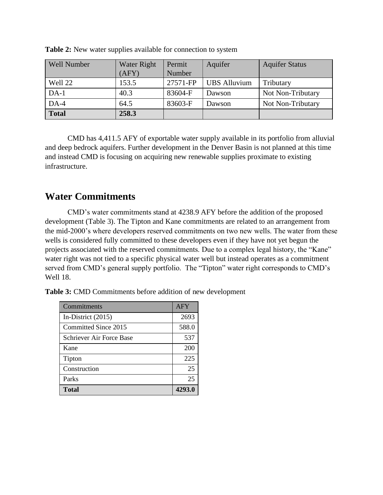| <b>Well Number</b> | Water Right | Permit   | Aquifer             | <b>Aquifer Status</b> |
|--------------------|-------------|----------|---------------------|-----------------------|
|                    | (AFY)       | Number   |                     |                       |
| Well 22            | 153.5       | 27571-FP | <b>UBS</b> Alluvium | Tributary             |
| $DA-1$             | 40.3        | 83604-F  | Dawson              | Not Non-Tributary     |
| $DA-4$             | 64.5        | 83603-F  | Dawson              | Not Non-Tributary     |
| <b>Total</b>       | 258.3       |          |                     |                       |

**Table 2:** New water supplies available for connection to system

CMD has 4,411.5 AFY of exportable water supply available in its portfolio from alluvial and deep bedrock aquifers. Further development in the Denver Basin is not planned at this time and instead CMD is focusing on acquiring new renewable supplies proximate to existing infrastructure.

## **Water Commitments**

CMD's water commitments stand at 4238.9 AFY before the addition of the proposed development (Table 3). The Tipton and Kane commitments are related to an arrangement from the mid-2000's where developers reserved commitments on two new wells. The water from these wells is considered fully committed to these developers even if they have not yet begun the projects associated with the reserved commitments. Due to a complex legal history, the "Kane" water right was not tied to a specific physical water well but instead operates as a commitment served from CMD's general supply portfolio. The "Tipton" water right corresponds to CMD's Well 18.

**Table 3:** CMD Commitments before addition of new development

| Commitments              | <b>AFY</b> |
|--------------------------|------------|
| In-District $(2015)$     | 2693       |
| Committed Since 2015     | 588.0      |
| Schriever Air Force Base | 537        |
| Kane                     | 200        |
| Tipton                   | 225        |
| Construction             | 25         |
| Parks                    | 25         |
| Total                    | 4293.0     |